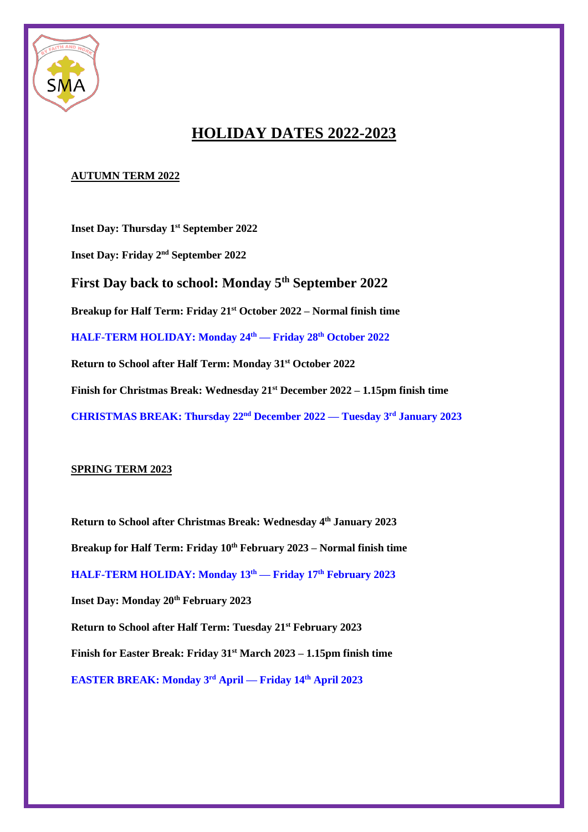

## **HOLIDAY DATES 2022-2023**

## **AUTUMN TERM 2022**

**Inset Day: Thursday 1st September 2022 Inset Day: Friday 2nd September 2022 First Day back to school: Monday 5th September 2022 Breakup for Half Term: Friday 21st October 2022 – Normal finish time HALF-TERM HOLIDAY: Monday 24 th — Friday 28 th October 2022 Return to School after Half Term: Monday 31st October 2022 Finish for Christmas Break: Wednesday 21st December 2022 – 1.15pm finish time CHRISTMAS BREAK: Thursday 22nd December 2022 — Tuesday 3 rd January 2023**

## **SPRING TERM 2023**

**Return to School after Christmas Break: Wednesday 4th January 2023 Breakup for Half Term: Friday 10th February 2023 – Normal finish time HALF-TERM HOLIDAY: Monday 13th — Friday 17th February 2023 Inset Day: Monday 20th February 2023 Return to School after Half Term: Tuesday 21st February 2023 Finish for Easter Break: Friday 31st March 2023 – 1.15pm finish time EASTER BREAK: Monday 3 rd April — Friday 14th April 2023**